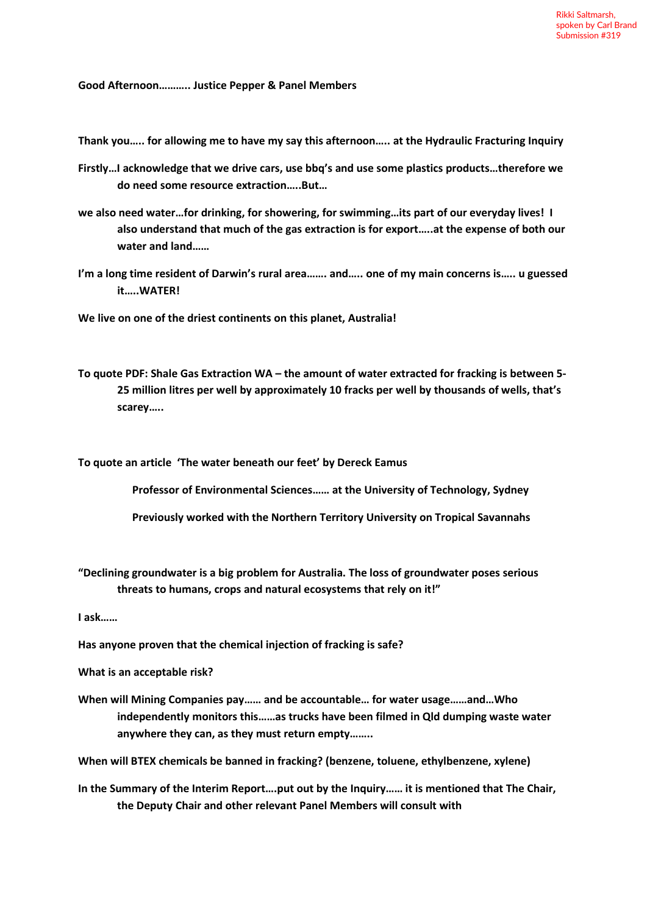**Good Afternoon……….. Justice Pepper & Panel Members**

**Thank you….. for allowing me to have my say this afternoon….. at the Hydraulic Fracturing Inquiry**

- **Firstly…I acknowledge that we drive cars, use bbq's and use some plastics products…therefore we do need some resource extraction…..But…**
- **we also need water…for drinking, for showering, for swimming…its part of our everyday lives! I also understand that much of the gas extraction is for export…..at the expense of both our water and land……**
- **I'm a long time resident of Darwin's rural area……. and….. one of my main concerns is….. u guessed it…..WATER!**

**We live on one of the driest continents on this planet, Australia!**

**To quote PDF: Shale Gas Extraction WA – the amount of water extracted for fracking is between 5- 25 million litres per well by approximately 10 fracks per well by thousands of wells, that's scarey…..**

**To quote an article 'The water beneath our feet' by Dereck Eamus**

 **Professor of Environmental Sciences…… at the University of Technology, Sydney**

- **Previously worked with the Northern Territory University on Tropical Savannahs**
- **"Declining groundwater is a big problem for Australia. The loss of groundwater poses serious threats to humans, crops and natural ecosystems that rely on it!"**

**I ask……**

**Has anyone proven that the chemical injection of fracking is safe?**

**What is an acceptable risk?**

**When will Mining Companies pay…… and be accountable… for water usage……and…Who independently monitors this……as trucks have been filmed in Qld dumping waste water anywhere they can, as they must return empty……..**

**When will BTEX chemicals be banned in fracking? (benzene, toluene, ethylbenzene, xylene)**

**In the Summary of the Interim Report….put out by the Inquiry…… it is mentioned that The Chair, the Deputy Chair and other relevant Panel Members will consult with**